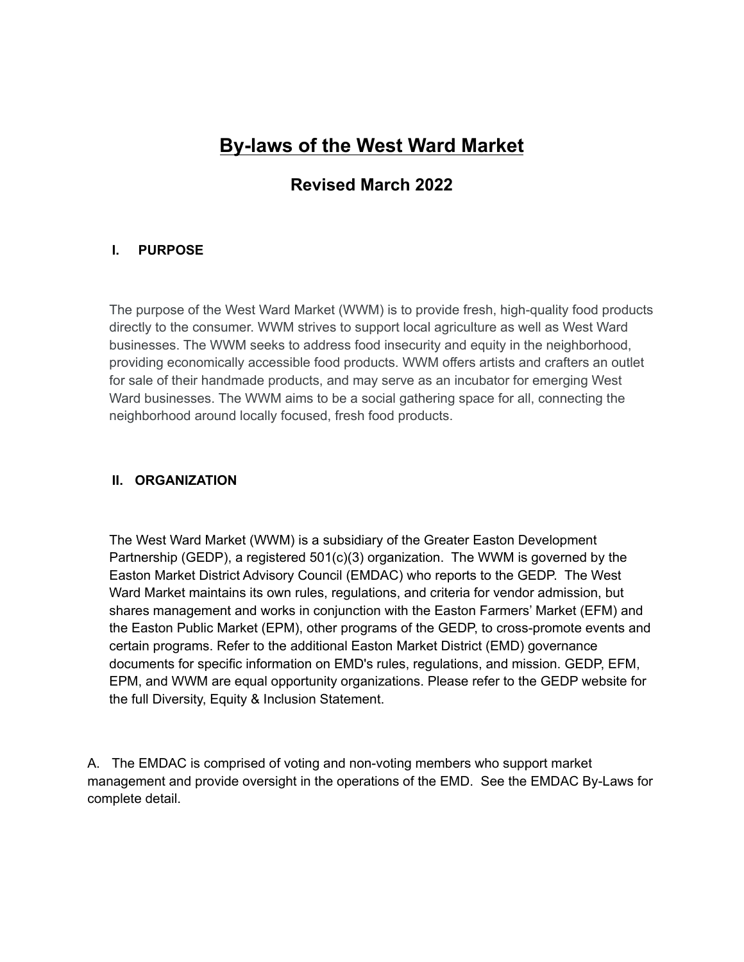# **By-laws of the West Ward Market**

# **Revised March 2022**

# **I. PURPOSE**

The purpose of the West Ward Market (WWM) is to provide fresh, high-quality food products directly to the consumer. WWM strives to support local agriculture as well as West Ward businesses. The WWM seeks to address food insecurity and equity in the neighborhood, providing economically accessible food products. WWM offers artists and crafters an outlet for sale of their handmade products, and may serve as an incubator for emerging West Ward businesses. The WWM aims to be a social gathering space for all, connecting the neighborhood around locally focused, fresh food products.

# **II. ORGANIZATION**

The West Ward Market (WWM) is a subsidiary of the Greater Easton Development Partnership (GEDP), a registered 501(c)(3) organization. The WWM is governed by the Easton Market District Advisory Council (EMDAC) who reports to the GEDP. The West Ward Market maintains its own rules, regulations, and criteria for vendor admission, but shares management and works in conjunction with the Easton Farmers' Market (EFM) and the Easton Public Market (EPM), other programs of the GEDP, to cross-promote events and certain programs. Refer to the additional Easton Market District (EMD) governance documents for specific information on EMD's rules, regulations, and mission. GEDP, EFM, EPM, and WWM are equal opportunity organizations. Please refer to the GEDP website for the full Diversity, Equity & Inclusion Statement.

A. The EMDAC is comprised of voting and non-voting members who support market management and provide oversight in the operations of the EMD. See the EMDAC By-Laws for complete detail.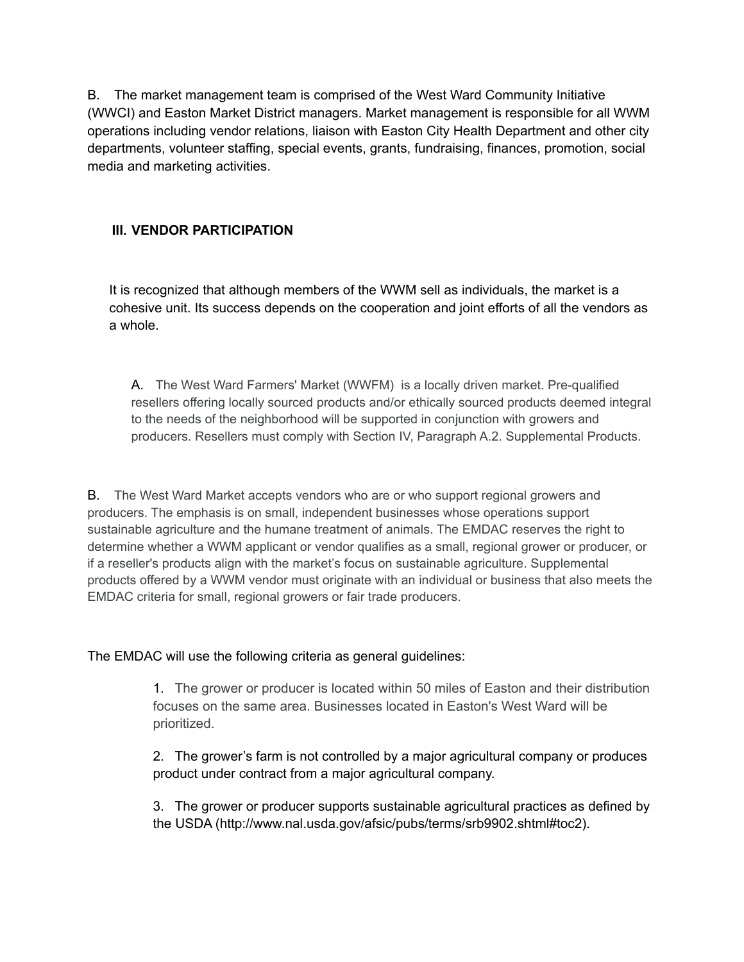B. The market management team is comprised of the West Ward Community Initiative (WWCI) and Easton Market District managers. Market management is responsible for all WWM operations including vendor relations, liaison with Easton City Health Department and other city departments, volunteer staffing, special events, grants, fundraising, finances, promotion, social media and marketing activities.

# **III. VENDOR PARTICIPATION**

It is recognized that although members of the WWM sell as individuals, the market is a cohesive unit. Its success depends on the cooperation and joint efforts of all the vendors as a whole.

A. The West Ward Farmers' Market (WWFM) is a locally driven market. Pre-qualified resellers offering locally sourced products and/or ethically sourced products deemed integral to the needs of the neighborhood will be supported in conjunction with growers and producers. Resellers must comply with Section IV, Paragraph A.2. Supplemental Products.

B. The West Ward Market accepts vendors who are or who support regional growers and producers. The emphasis is on small, independent businesses whose operations support sustainable agriculture and the humane treatment of animals. The EMDAC reserves the right to determine whether a WWM applicant or vendor qualifies as a small, regional grower or producer, or if a reseller's products align with the market's focus on sustainable agriculture. Supplemental products offered by a WWM vendor must originate with an individual or business that also meets the EMDAC criteria for small, regional growers or fair trade producers.

The EMDAC will use the following criteria as general guidelines:

1. The grower or producer is located within 50 miles of Easton and their distribution focuses on the same area. Businesses located in Easton's West Ward will be prioritized.

2. The grower's farm is not controlled by a major agricultural company or produces product under contract from a major agricultural company.

3. The grower or producer supports sustainable agricultural practices as defined by the USDA (http://www.nal.usda.gov/afsic/pubs/terms/srb9902.shtml#toc2).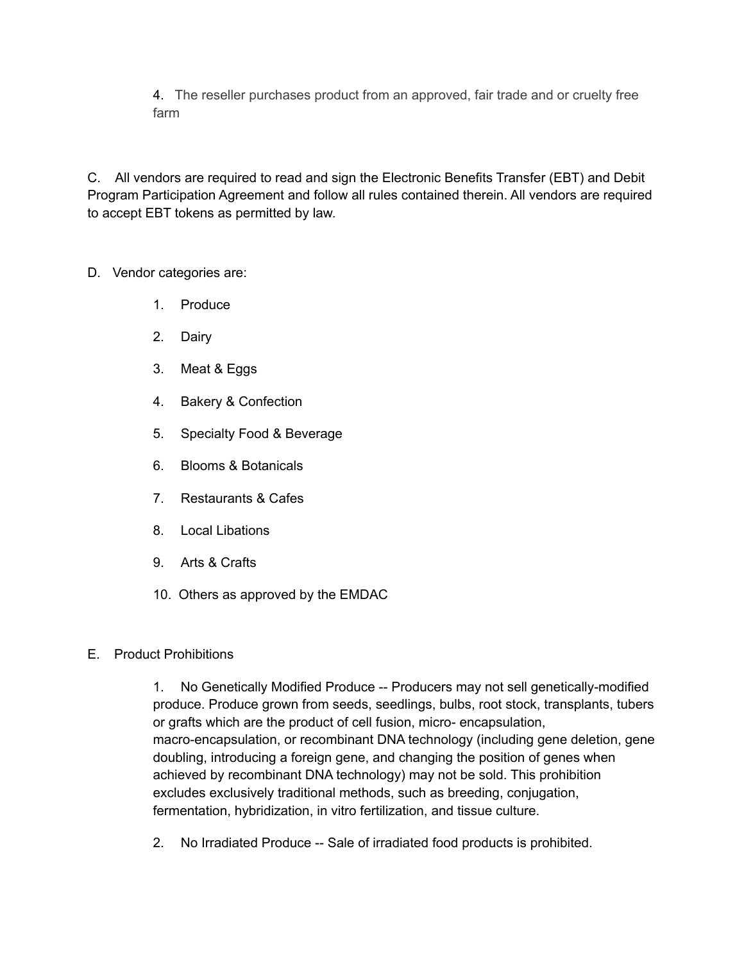4. The reseller purchases product from an approved, fair trade and or cruelty free farm

C. All vendors are required to read and sign the Electronic Benefits Transfer (EBT) and Debit Program Participation Agreement and follow all rules contained therein. All vendors are required to accept EBT tokens as permitted by law.

# D. Vendor categories are:

- 1. Produce
- 2. Dairy
- 3. Meat & Eggs
- 4. Bakery & Confection
- 5. Specialty Food & Beverage
- 6. Blooms & Botanicals
- 7. Restaurants & Cafes
- 8. Local Libations
- 9. Arts & Crafts
- 10. Others as approved by the EMDAC

# E. Product Prohibitions

1. No Genetically Modified Produce -- Producers may not sell genetically-modified produce. Produce grown from seeds, seedlings, bulbs, root stock, transplants, tubers or grafts which are the product of cell fusion, micro- encapsulation, macro-encapsulation, or recombinant DNA technology (including gene deletion, gene doubling, introducing a foreign gene, and changing the position of genes when achieved by recombinant DNA technology) may not be sold. This prohibition excludes exclusively traditional methods, such as breeding, conjugation, fermentation, hybridization, in vitro fertilization, and tissue culture.

2. No Irradiated Produce -- Sale of irradiated food products is prohibited.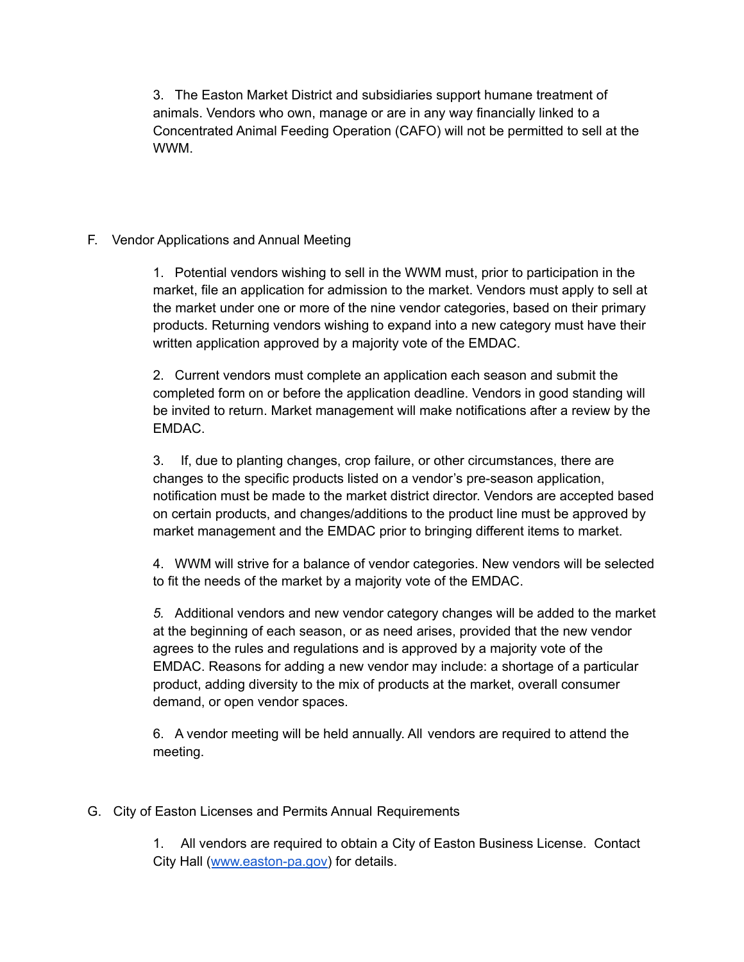3. The Easton Market District and subsidiaries support humane treatment of animals. Vendors who own, manage or are in any way financially linked to a Concentrated Animal Feeding Operation (CAFO) will not be permitted to sell at the WWM.

#### F. Vendor Applications and Annual Meeting

1. Potential vendors wishing to sell in the WWM must, prior to participation in the market, file an application for admission to the market. Vendors must apply to sell at the market under one or more of the nine vendor categories, based on their primary products. Returning vendors wishing to expand into a new category must have their written application approved by a majority vote of the EMDAC.

2. Current vendors must complete an application each season and submit the completed form on or before the application deadline. Vendors in good standing will be invited to return. Market management will make notifications after a review by the EMDAC.

3. If, due to planting changes, crop failure, or other circumstances, there are changes to the specific products listed on a vendor's pre-season application, notification must be made to the market district director. Vendors are accepted based on certain products, and changes/additions to the product line must be approved by market management and the EMDAC prior to bringing different items to market.

4. WWM will strive for a balance of vendor categories. New vendors will be selected to fit the needs of the market by a majority vote of the EMDAC.

*5.* Additional vendors and new vendor category changes will be added to the market at the beginning of each season, or as need arises, provided that the new vendor agrees to the rules and regulations and is approved by a majority vote of the EMDAC. Reasons for adding a new vendor may include: a shortage of a particular product, adding diversity to the mix of products at the market, overall consumer demand, or open vendor spaces.

6. A vendor meeting will be held annually. All vendors are required to attend the meeting.

G. City of Easton Licenses and Permits Annual Requirements

1. All vendors are required to obtain a City of Easton Business License. Contact City Hall ([www.easton-pa.gov\)](http://www.easton-pa.gov/) for details.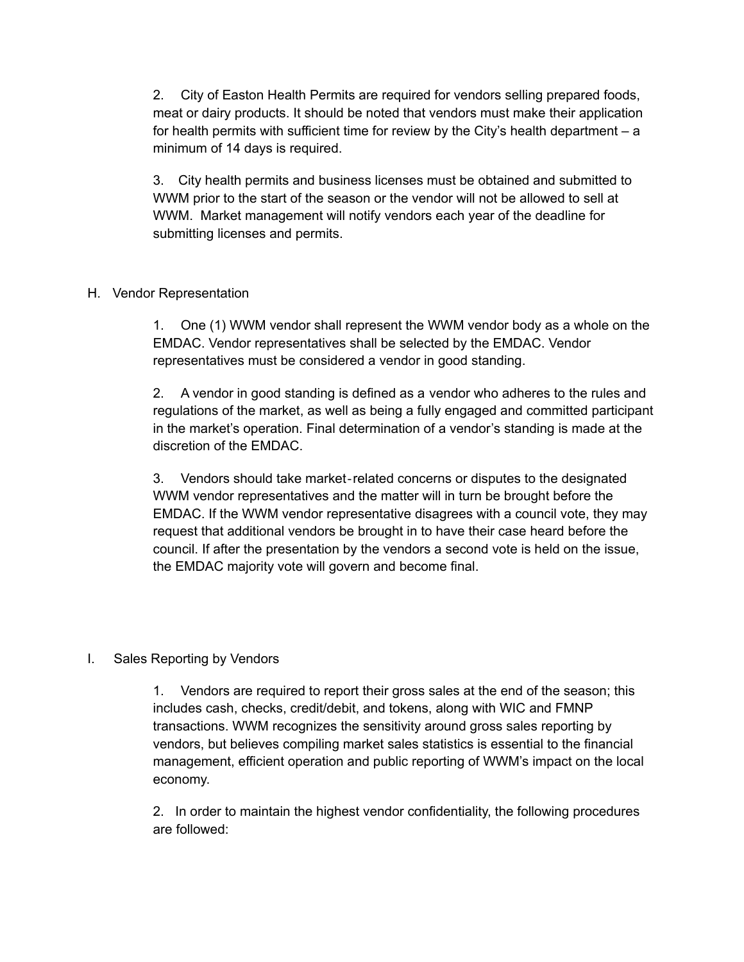2. City of Easton Health Permits are required for vendors selling prepared foods, meat or dairy products. It should be noted that vendors must make their application for health permits with sufficient time for review by the City's health department – a minimum of 14 days is required.

3. City health permits and business licenses must be obtained and submitted to WWM prior to the start of the season or the vendor will not be allowed to sell at WWM. Market management will notify vendors each year of the deadline for submitting licenses and permits.

#### H. Vendor Representation

1. One (1) WWM vendor shall represent the WWM vendor body as a whole on the EMDAC. Vendor representatives shall be selected by the EMDAC. Vendor representatives must be considered a vendor in good standing.

2. A vendor in good standing is defined as a vendor who adheres to the rules and regulations of the market, as well as being a fully engaged and committed participant in the market's operation. Final determination of a vendor's standing is made at the discretion of the EMDAC.

3. Vendors should take market‐related concerns or disputes to the designated WWM vendor representatives and the matter will in turn be brought before the EMDAC. If the WWM vendor representative disagrees with a council vote, they may request that additional vendors be brought in to have their case heard before the council. If after the presentation by the vendors a second vote is held on the issue, the EMDAC majority vote will govern and become final.

# I. Sales Reporting by Vendors

1. Vendors are required to report their gross sales at the end of the season; this includes cash, checks, credit/debit, and tokens, along with WIC and FMNP transactions. WWM recognizes the sensitivity around gross sales reporting by vendors, but believes compiling market sales statistics is essential to the financial management, efficient operation and public reporting of WWM's impact on the local economy.

2. In order to maintain the highest vendor confidentiality, the following procedures are followed: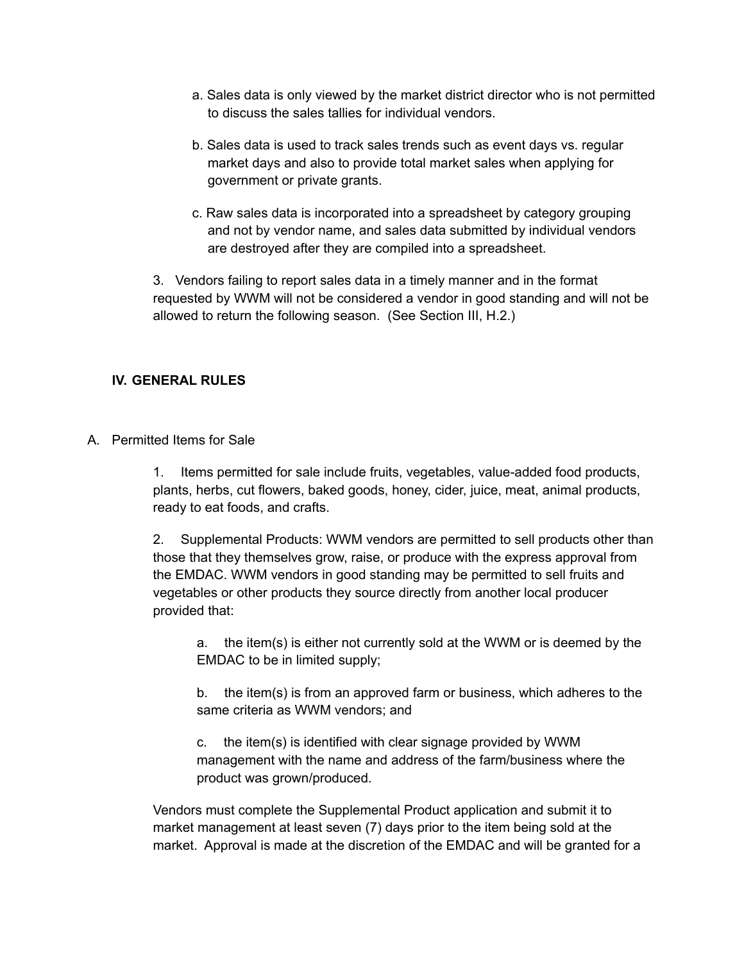- a. Sales data is only viewed by the market district director who is not permitted to discuss the sales tallies for individual vendors.
- b. Sales data is used to track sales trends such as event days vs. regular market days and also to provide total market sales when applying for government or private grants.
- c. Raw sales data is incorporated into a spreadsheet by category grouping and not by vendor name, and sales data submitted by individual vendors are destroyed after they are compiled into a spreadsheet.

3. Vendors failing to report sales data in a timely manner and in the format requested by WWM will not be considered a vendor in good standing and will not be allowed to return the following season. (See Section III, H.2.)

# **IV. GENERAL RULES**

A. Permitted Items for Sale

1. Items permitted for sale include fruits, vegetables, value-added food products, plants, herbs, cut flowers, baked goods, honey, cider, juice, meat, animal products, ready to eat foods, and crafts.

2. Supplemental Products: WWM vendors are permitted to sell products other than those that they themselves grow, raise, or produce with the express approval from the EMDAC. WWM vendors in good standing may be permitted to sell fruits and vegetables or other products they source directly from another local producer provided that:

a. the item(s) is either not currently sold at the WWM or is deemed by the EMDAC to be in limited supply;

b. the item(s) is from an approved farm or business, which adheres to the same criteria as WWM vendors; and

c. the item(s) is identified with clear signage provided by WWM management with the name and address of the farm/business where the product was grown/produced.

Vendors must complete the Supplemental Product application and submit it to market management at least seven (7) days prior to the item being sold at the market. Approval is made at the discretion of the EMDAC and will be granted for a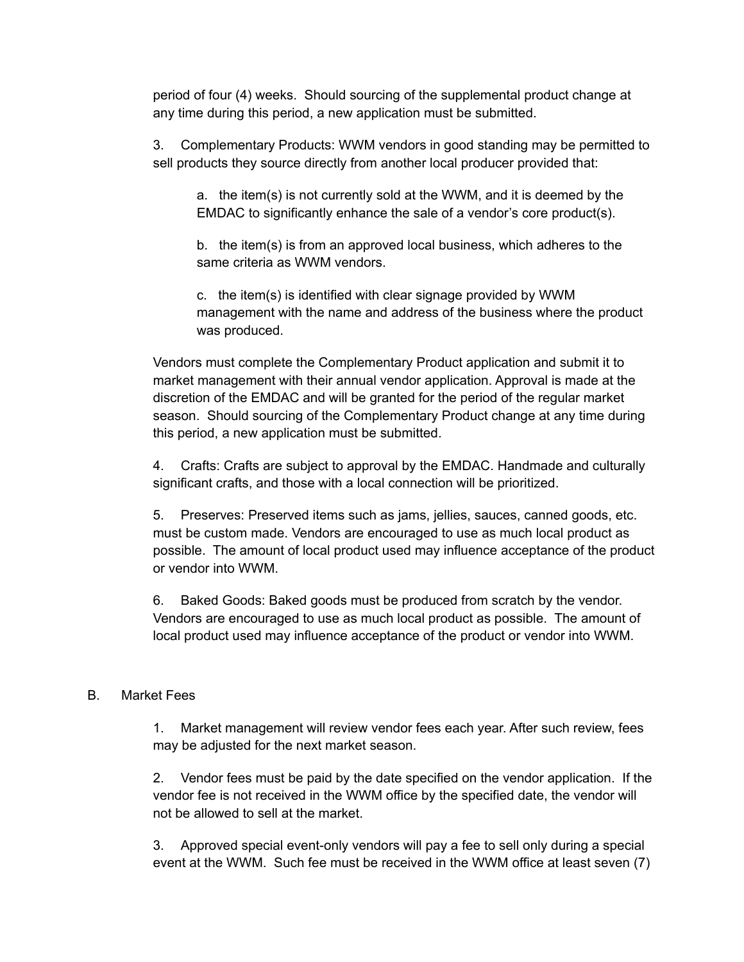period of four (4) weeks. Should sourcing of the supplemental product change at any time during this period, a new application must be submitted.

3. Complementary Products: WWM vendors in good standing may be permitted to sell products they source directly from another local producer provided that:

a. the item(s) is not currently sold at the WWM, and it is deemed by the EMDAC to significantly enhance the sale of a vendor's core product(s).

b. the item(s) is from an approved local business, which adheres to the same criteria as WWM vendors.

c. the item(s) is identified with clear signage provided by WWM management with the name and address of the business where the product was produced.

Vendors must complete the Complementary Product application and submit it to market management with their annual vendor application. Approval is made at the discretion of the EMDAC and will be granted for the period of the regular market season. Should sourcing of the Complementary Product change at any time during this period, a new application must be submitted.

4. Crafts: Crafts are subject to approval by the EMDAC. Handmade and culturally significant crafts, and those with a local connection will be prioritized.

5. Preserves: Preserved items such as jams, jellies, sauces, canned goods, etc. must be custom made. Vendors are encouraged to use as much local product as possible. The amount of local product used may influence acceptance of the product or vendor into WWM.

6. Baked Goods: Baked goods must be produced from scratch by the vendor. Vendors are encouraged to use as much local product as possible. The amount of local product used may influence acceptance of the product or vendor into WWM.

# B. Market Fees

1. Market management will review vendor fees each year. After such review, fees may be adjusted for the next market season.

2. Vendor fees must be paid by the date specified on the vendor application. If the vendor fee is not received in the WWM office by the specified date, the vendor will not be allowed to sell at the market.

3. Approved special event-only vendors will pay a fee to sell only during a special event at the WWM. Such fee must be received in the WWM office at least seven (7)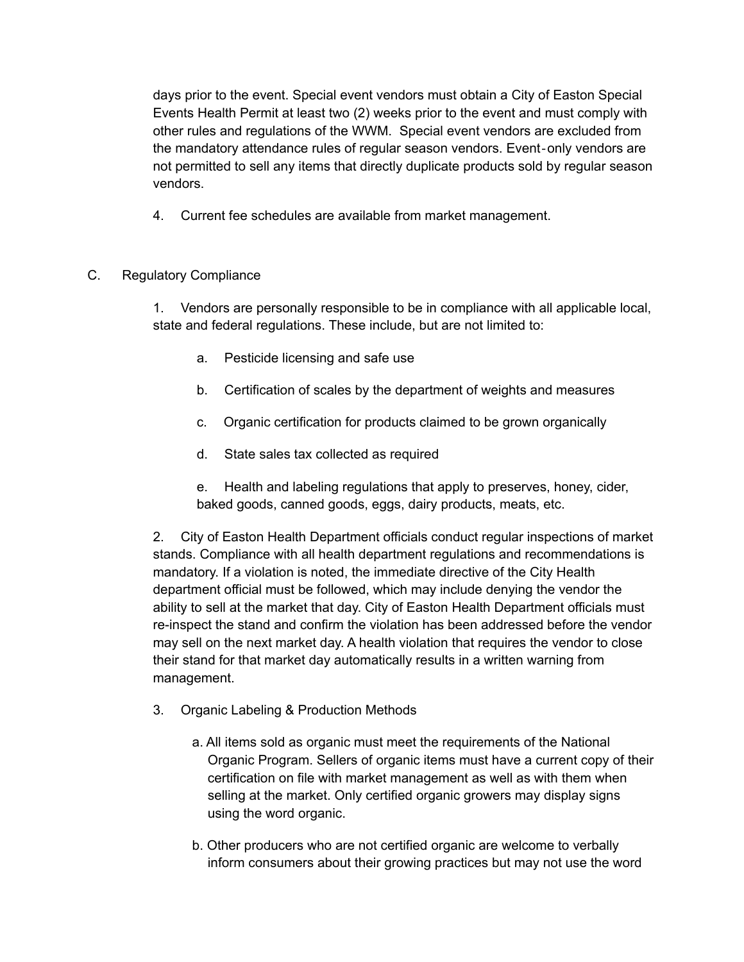days prior to the event. Special event vendors must obtain a City of Easton Special Events Health Permit at least two (2) weeks prior to the event and must comply with other rules and regulations of the WWM. Special event vendors are excluded from the mandatory attendance rules of regular season vendors. Event‐only vendors are not permitted to sell any items that directly duplicate products sold by regular season vendors.

4. Current fee schedules are available from market management.

# C. Regulatory Compliance

1. Vendors are personally responsible to be in compliance with all applicable local, state and federal regulations. These include, but are not limited to:

- a. Pesticide licensing and safe use
- b. Certification of scales by the department of weights and measures
- c. Organic certification for products claimed to be grown organically
- d. State sales tax collected as required
- e. Health and labeling regulations that apply to preserves, honey, cider, baked goods, canned goods, eggs, dairy products, meats, etc.

2. City of Easton Health Department officials conduct regular inspections of market stands. Compliance with all health department regulations and recommendations is mandatory. If a violation is noted, the immediate directive of the City Health department official must be followed, which may include denying the vendor the ability to sell at the market that day. City of Easton Health Department officials must re-inspect the stand and confirm the violation has been addressed before the vendor may sell on the next market day. A health violation that requires the vendor to close their stand for that market day automatically results in a written warning from management.

- 3. Organic Labeling & Production Methods
	- a. All items sold as organic must meet the requirements of the National Organic Program. Sellers of organic items must have a current copy of their certification on file with market management as well as with them when selling at the market. Only certified organic growers may display signs using the word organic.
	- b. Other producers who are not certified organic are welcome to verbally inform consumers about their growing practices but may not use the word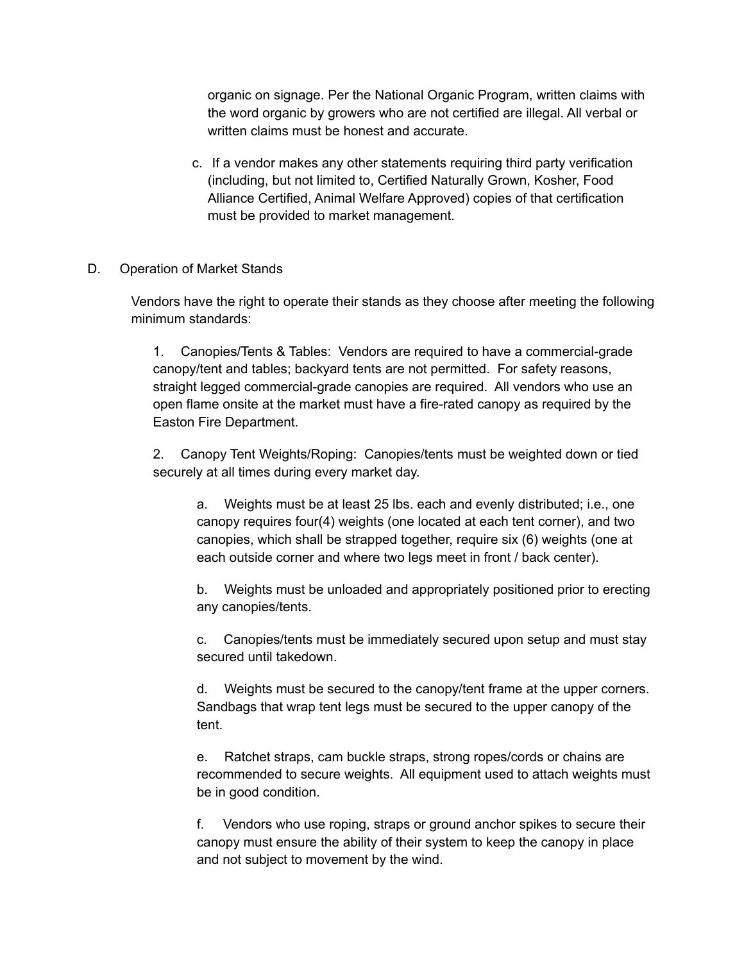organic on signage. Per the National Organic Program, written claims with the word organic by growers who are not certified are illegal. All verbal or written claims must be honest and accurate.

c. If a vendor makes any other statements requiring third party verification (including, but not limited to, Certified Naturally Grown, Kosher, Food Alliance Certified, Animal Welfare Approved) copies of that certification must be provided to market management.

#### D. Operation of Market Stands

Vendors have the right to operate their stands as they choose after meeting the following minimum standards:

1. Canopies/Tents & Tables: Vendors are required to have a commercial-grade canopy/tent and tables; backyard tents are not permitted. For safety reasons, straight legged commercial-grade canopies are required. All vendors who use an open flame onsite at the market must have a fire-rated canopy as required by the Easton Fire Department.

2. Canopy Tent Weights/Roping: Canopies/tents must be weighted down or tied securely at all times during every market day.

a. Weights must be at least 25 lbs. each and evenly distributed; i.e., one canopy requires four(4) weights (one located at each tent corner), and two canopies, which shall be strapped together, require six (6) weights (one at each outside corner and where two legs meet in front / back center).

b. Weights must be unloaded and appropriately positioned prior to erecting any canopies/tents.

c. Canopies/tents must be immediately secured upon setup and must stay secured until takedown.

d. Weights must be secured to the canopy/tent frame at the upper corners. Sandbags that wrap tent legs must be secured to the upper canopy of the tent.

e. Ratchet straps, cam buckle straps, strong ropes/cords or chains are recommended to secure weights. All equipment used to attach weights must be in good condition.

f. Vendors who use roping, straps or ground anchor spikes to secure their canopy must ensure the ability of their system to keep the canopy in place and not subject to movement by the wind.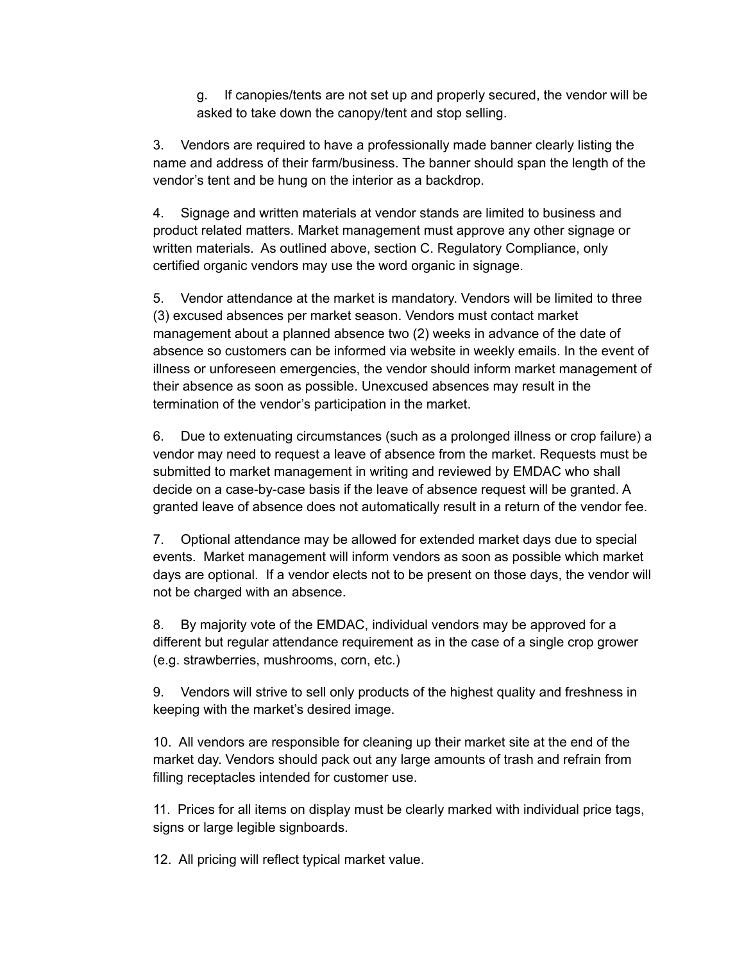g. If canopies/tents are not set up and properly secured, the vendor will be asked to take down the canopy/tent and stop selling.

3. Vendors are required to have a professionally made banner clearly listing the name and address of their farm/business. The banner should span the length of the vendor's tent and be hung on the interior as a backdrop.

4. Signage and written materials at vendor stands are limited to business and product related matters. Market management must approve any other signage or written materials. As outlined above, section C. Regulatory Compliance, only certified organic vendors may use the word organic in signage.

5. Vendor attendance at the market is mandatory. Vendors will be limited to three (3) excused absences per market season. Vendors must contact market management about a planned absence two (2) weeks in advance of the date of absence so customers can be informed via website in weekly emails. In the event of illness or unforeseen emergencies, the vendor should inform market management of their absence as soon as possible. Unexcused absences may result in the termination of the vendor's participation in the market.

6. Due to extenuating circumstances (such as a prolonged illness or crop failure) a vendor may need to request a leave of absence from the market. Requests must be submitted to market management in writing and reviewed by EMDAC who shall decide on a case-by-case basis if the leave of absence request will be granted. A granted leave of absence does not automatically result in a return of the vendor fee.

7. Optional attendance may be allowed for extended market days due to special events. Market management will inform vendors as soon as possible which market days are optional. If a vendor elects not to be present on those days, the vendor will not be charged with an absence.

8. By majority vote of the EMDAC, individual vendors may be approved for a different but regular attendance requirement as in the case of a single crop grower (e.g. strawberries, mushrooms, corn, etc.)

9. Vendors will strive to sell only products of the highest quality and freshness in keeping with the market's desired image.

10. All vendors are responsible for cleaning up their market site at the end of the market day. Vendors should pack out any large amounts of trash and refrain from filling receptacles intended for customer use.

11. Prices for all items on display must be clearly marked with individual price tags, signs or large legible signboards.

12. All pricing will reflect typical market value.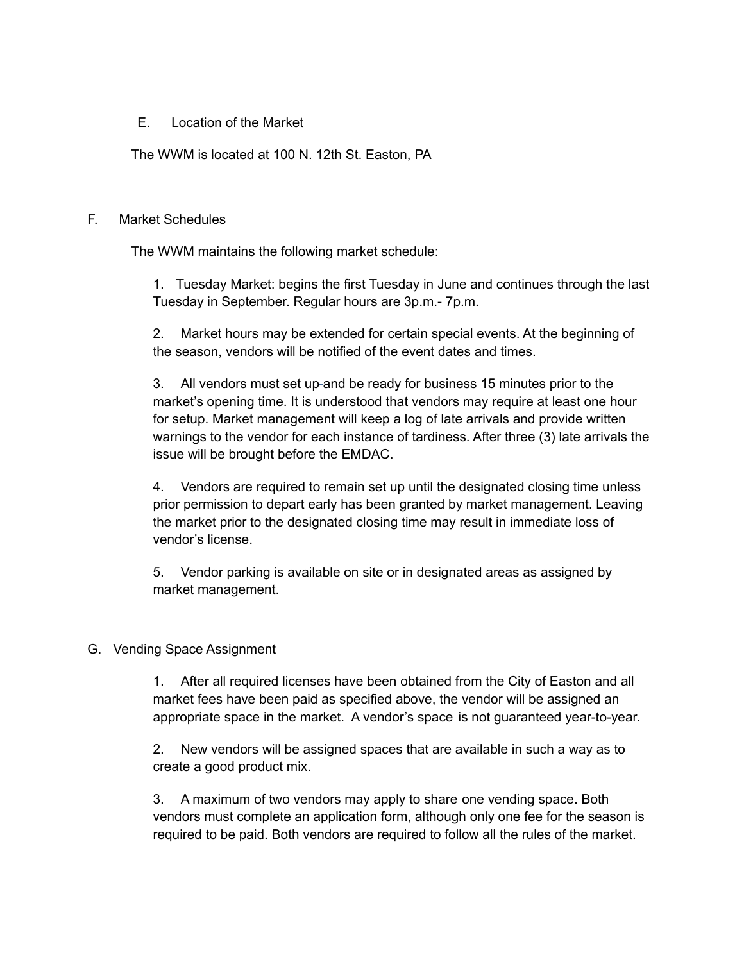#### E. Location of the Market

The WWM is located at 100 N. 12th St. Easton, PA

#### F. Market Schedules

The WWM maintains the following market schedule:

1. Tuesday Market: begins the first Tuesday in June and continues through the last Tuesday in September. Regular hours are 3p.m.- 7p.m.

2. Market hours may be extended for certain special events. At the beginning of the season, vendors will be notified of the event dates and times.

3. All vendors must set up and be ready for business 15 minutes prior to the market's opening time. It is understood that vendors may require at least one hour for setup. Market management will keep a log of late arrivals and provide written warnings to the vendor for each instance of tardiness. After three (3) late arrivals the issue will be brought before the EMDAC.

4. Vendors are required to remain set up until the designated closing time unless prior permission to depart early has been granted by market management. Leaving the market prior to the designated closing time may result in immediate loss of vendor's license.

5. Vendor parking is available on site or in designated areas as assigned by market management.

# G. Vending Space Assignment

1. After all required licenses have been obtained from the City of Easton and all market fees have been paid as specified above, the vendor will be assigned an appropriate space in the market. A vendor's space is not guaranteed year-to-year.

2. New vendors will be assigned spaces that are available in such a way as to create a good product mix.

3. A maximum of two vendors may apply to share one vending space. Both vendors must complete an application form, although only one fee for the season is required to be paid. Both vendors are required to follow all the rules of the market.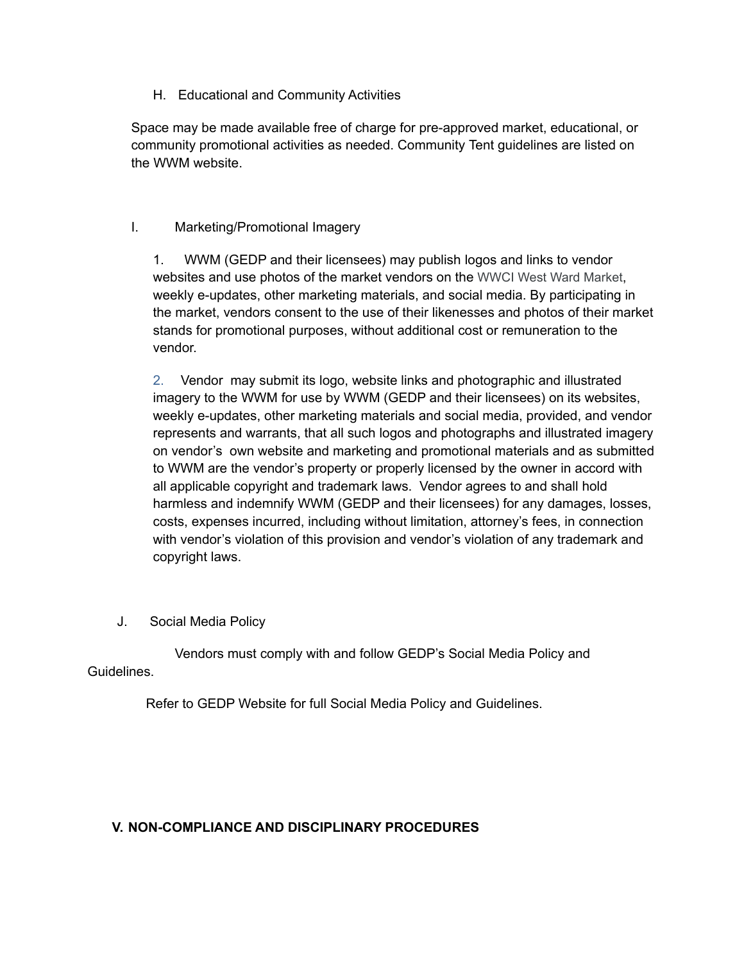#### H. Educational and Community Activities

Space may be made available free of charge for pre-approved market, educational, or community promotional activities as needed. Community Tent guidelines are listed on the WWM website.

#### I. Marketing/Promotional Imagery

1. WWM (GEDP and their licensees) may publish logos and links to vendor websites and use photos of the market vendors on the WWCI West Ward Market, weekly e-updates, other marketing materials, and social media. By participating in the market, vendors consent to the use of their likenesses and photos of their market stands for promotional purposes, without additional cost or remuneration to the vendor.

2. Vendor may submit its logo, website links and photographic and illustrated imagery to the WWM for use by WWM (GEDP and their licensees) on its websites, weekly e-updates, other marketing materials and social media, provided, and vendor represents and warrants, that all such logos and photographs and illustrated imagery on vendor's own website and marketing and promotional materials and as submitted to WWM are the vendor's property or properly licensed by the owner in accord with all applicable copyright and trademark laws. Vendor agrees to and shall hold harmless and indemnify WWM (GEDP and their licensees) for any damages, losses, costs, expenses incurred, including without limitation, attorney's fees, in connection with vendor's violation of this provision and vendor's violation of any trademark and copyright laws.

J. Social Media Policy

Vendors must comply with and follow GEDP's Social Media Policy and Guidelines.

Refer to GEDP Website for full Social Media Policy and Guidelines.

# **V. NON-COMPLIANCE AND DISCIPLINARY PROCEDURES**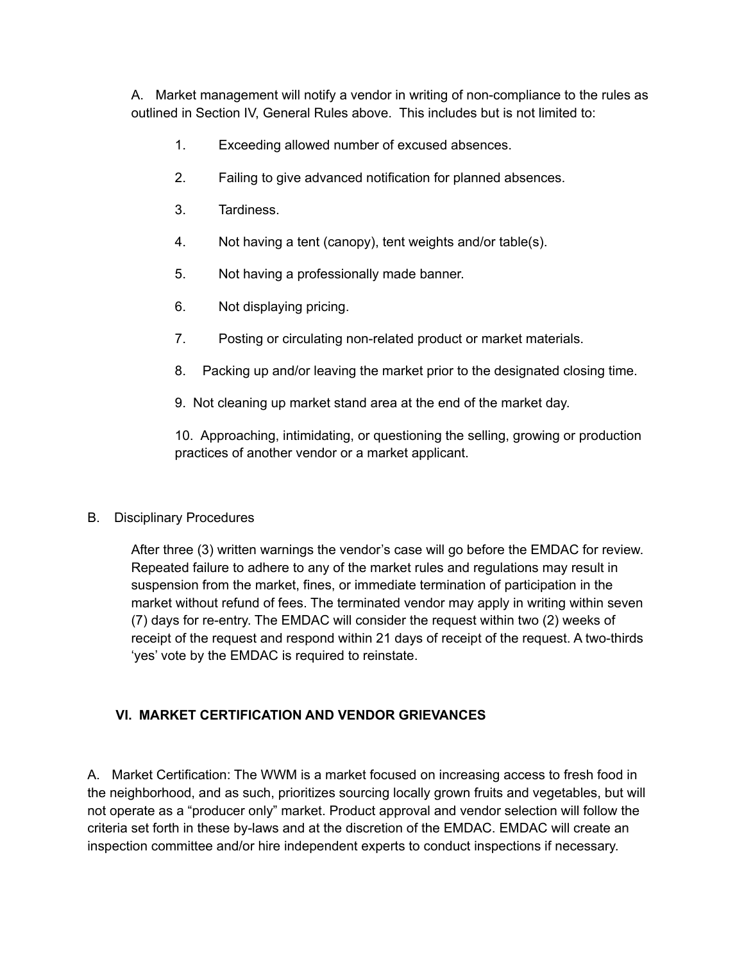A. Market management will notify a vendor in writing of non-compliance to the rules as outlined in Section IV, General Rules above. This includes but is not limited to:

- 1. Exceeding allowed number of excused absences.
- 2. Failing to give advanced notification for planned absences.
- 3. Tardiness.
- 4. Not having a tent (canopy), tent weights and/or table(s).
- 5. Not having a professionally made banner.
- 6. Not displaying pricing.
- 7. Posting or circulating non-related product or market materials.
- 8. Packing up and/or leaving the market prior to the designated closing time.
- 9. Not cleaning up market stand area at the end of the market day.

10. Approaching, intimidating, or questioning the selling, growing or production practices of another vendor or a market applicant.

# B. Disciplinary Procedures

After three (3) written warnings the vendor's case will go before the EMDAC for review. Repeated failure to adhere to any of the market rules and regulations may result in suspension from the market, fines, or immediate termination of participation in the market without refund of fees. The terminated vendor may apply in writing within seven (7) days for re-entry. The EMDAC will consider the request within two (2) weeks of receipt of the request and respond within 21 days of receipt of the request. A two-thirds 'yes' vote by the EMDAC is required to reinstate.

# **VI. MARKET CERTIFICATION AND VENDOR GRIEVANCES**

A. Market Certification: The WWM is a market focused on increasing access to fresh food in the neighborhood, and as such, prioritizes sourcing locally grown fruits and vegetables, but will not operate as a "producer only" market. Product approval and vendor selection will follow the criteria set forth in these by-laws and at the discretion of the EMDAC. EMDAC will create an inspection committee and/or hire independent experts to conduct inspections if necessary.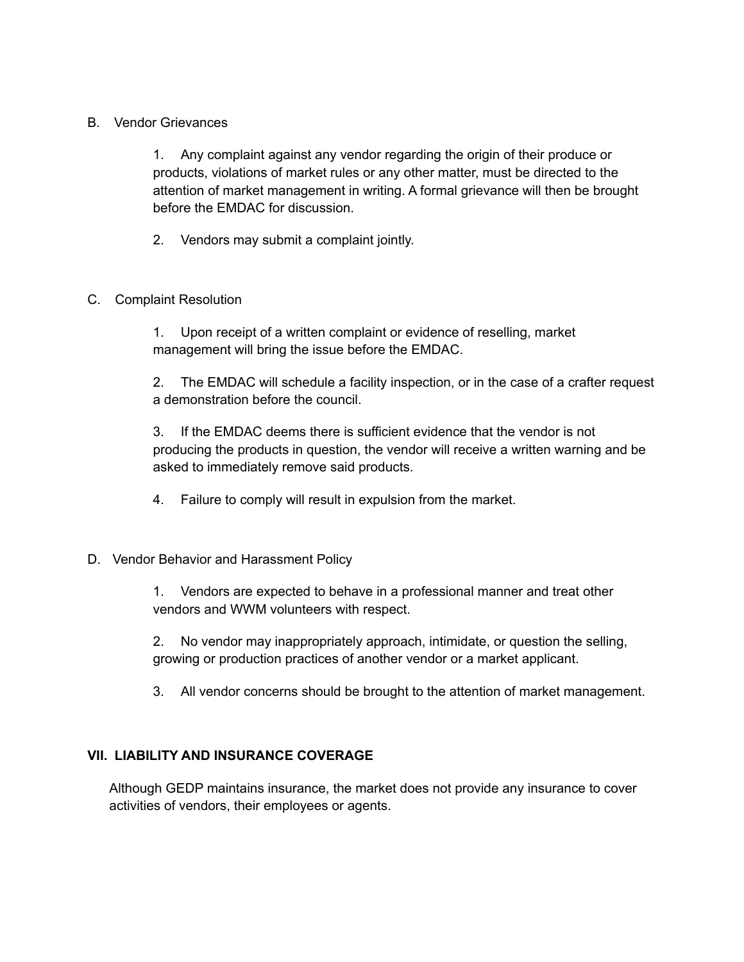#### B. Vendor Grievances

1. Any complaint against any vendor regarding the origin of their produce or products, violations of market rules or any other matter, must be directed to the attention of market management in writing. A formal grievance will then be brought before the EMDAC for discussion.

2. Vendors may submit a complaint jointly.

#### C. Complaint Resolution

1. Upon receipt of a written complaint or evidence of reselling, market management will bring the issue before the EMDAC.

2. The EMDAC will schedule a facility inspection, or in the case of a crafter request a demonstration before the council.

3. If the EMDAC deems there is sufficient evidence that the vendor is not producing the products in question, the vendor will receive a written warning and be asked to immediately remove said products.

4. Failure to comply will result in expulsion from the market.

#### D. Vendor Behavior and Harassment Policy

1. Vendors are expected to behave in a professional manner and treat other vendors and WWM volunteers with respect.

2. No vendor may inappropriately approach, intimidate, or question the selling, growing or production practices of another vendor or a market applicant.

3. All vendor concerns should be brought to the attention of market management.

# **VII. LIABILITY AND INSURANCE COVERAGE**

Although GEDP maintains insurance, the market does not provide any insurance to cover activities of vendors, their employees or agents.